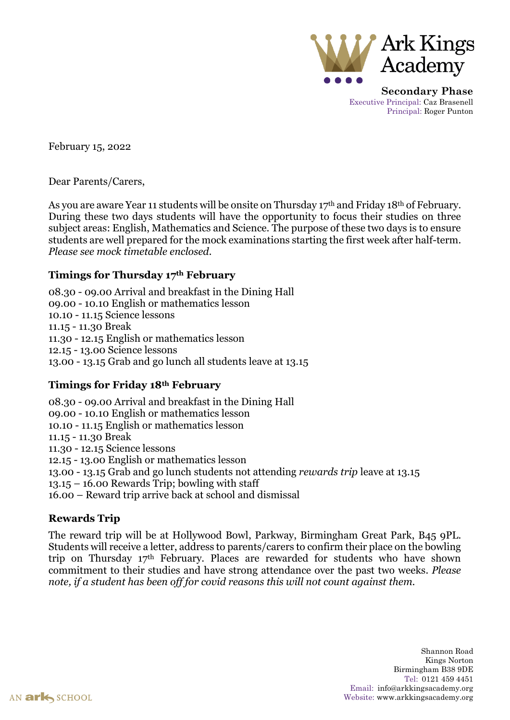

**Secondary Phase** Executive Principal: Caz Brasenell Principal: Roger Punton

February 15, 2022

Dear Parents/Carers,

As you are aware Year 11 students will be onsite on Thursday 17<sup>th</sup> and Friday 18<sup>th</sup> of February. During these two days students will have the opportunity to focus their studies on three subject areas: English, Mathematics and Science. The purpose of these two days is to ensure students are well prepared for the mock examinations starting the first week after half-term. *Please see mock timetable enclosed.*

### **Timings for Thursday 17th February**

08.30 - 09.00 Arrival and breakfast in the Dining Hall 09.00 - 10.10 English or mathematics lesson 10.10 - 11.15 Science lessons 11.15 - 11.30 Break 11.30 - 12.15 English or mathematics lesson 12.15 - 13.00 Science lessons 13.00 - 13.15 Grab and go lunch all students leave at 13.15

# **Timings for Friday 18th February**

08.30 - 09.00 Arrival and breakfast in the Dining Hall 09.00 - 10.10 English or mathematics lesson 10.10 - 11.15 English or mathematics lesson 11.15 - 11.30 Break 11.30 - 12.15 Science lessons 12.15 - 13.00 English or mathematics lesson 13.00 - 13.15 Grab and go lunch students not attending *rewards trip* leave at 13.15  $13.15 - 16.00$  Rewards Trip; bowling with staff 16.00 – Reward trip arrive back at school and dismissal

## **Rewards Trip**

The reward trip will be at Hollywood Bowl, Parkway, Birmingham Great Park, B45 9PL. Students will receive a letter, address to parents/carers to confirm their place on the bowling trip on Thursday 17th February. Places are rewarded for students who have shown commitment to their studies and have strong attendance over the past two weeks. *Please note, if a student has been off for covid reasons this will not count against them.*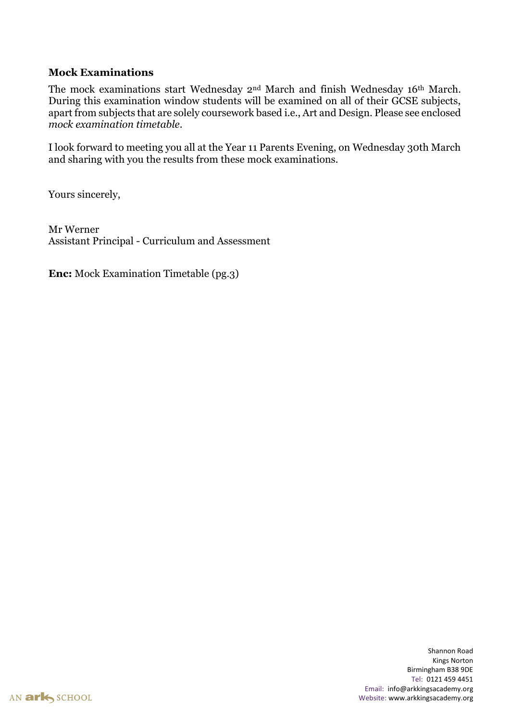#### **Mock Examinations**

The mock examinations start Wednesday 2nd March and finish Wednesday 16th March. During this examination window students will be examined on all of their GCSE subjects, apart from subjects that are solely coursework based i.e., Art and Design. Please see enclosed *mock examination timetable*.

I look forward to meeting you all at the Year 11 Parents Evening, on Wednesday 30th March and sharing with you the results from these mock examinations.

Yours sincerely,

Mr Werner Assistant Principal - Curriculum and Assessment

**Enc:** Mock Examination Timetable (pg.3)